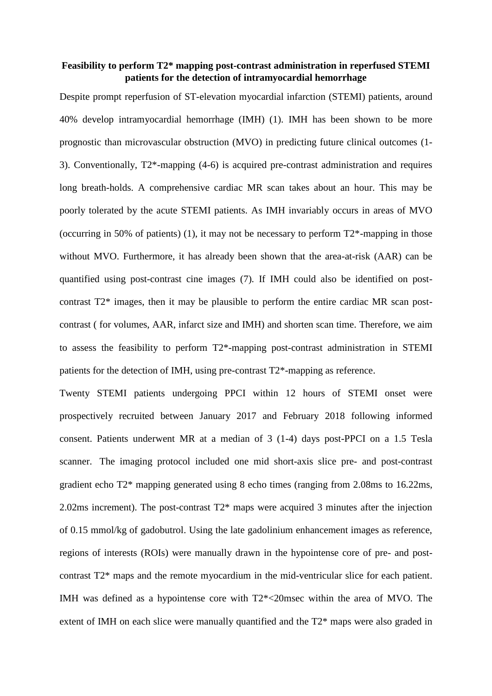## **Feasibility to perform T2\* mapping post-contrast administration in reperfused STEMI patients for the detection of intramyocardial hemorrhage**

Despite prompt reperfusion of ST-elevation myocardial infarction (STEMI) patients, around 40% develop intramyocardial hemorrhage (IMH) (1). IMH has been shown to be more prognostic than microvascular obstruction (MVO) in predicting future clinical outcomes (1- 3). Conventionally, T2\*-mapping (4-6) is acquired pre-contrast administration and requires long breath-holds. A comprehensive cardiac MR scan takes about an hour. This may be poorly tolerated by the acute STEMI patients. As IMH invariably occurs in areas of MVO (occurring in 50% of patients) (1), it may not be necessary to perform  $T2^*$ -mapping in those without MVO. Furthermore, it has already been shown that the area-at-risk (AAR) can be quantified using post-contrast cine images (7). If IMH could also be identified on postcontrast T2\* images, then it may be plausible to perform the entire cardiac MR scan postcontrast ( for volumes, AAR, infarct size and IMH) and shorten scan time. Therefore, we aim to assess the feasibility to perform T2\*-mapping post-contrast administration in STEMI patients for the detection of IMH, using pre-contrast T2\*-mapping as reference.

Twenty STEMI patients undergoing PPCI within 12 hours of STEMI onset were prospectively recruited between January 2017 and February 2018 following informed consent. Patients underwent MR at a median of 3 (1-4) days post-PPCI on a 1.5 Tesla scanner. The imaging protocol included one mid short-axis slice pre- and post-contrast gradient echo T2\* mapping generated using 8 echo times (ranging from 2.08ms to 16.22ms, 2.02ms increment). The post-contrast T2\* maps were acquired 3 minutes after the injection of 0.15 mmol/kg of gadobutrol. Using the late gadolinium enhancement images as reference, regions of interests (ROIs) were manually drawn in the hypointense core of pre- and postcontrast T2\* maps and the remote myocardium in the mid-ventricular slice for each patient. IMH was defined as a hypointense core with T2\*<20msec within the area of MVO. The extent of IMH on each slice were manually quantified and the T2\* maps were also graded in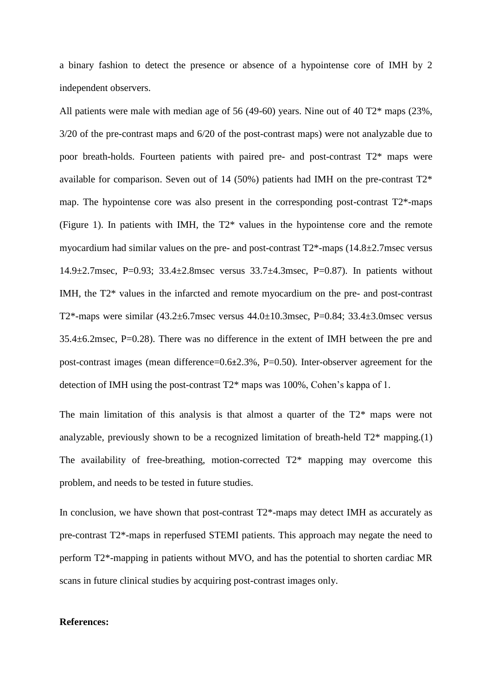a binary fashion to detect the presence or absence of a hypointense core of IMH by 2 independent observers.

All patients were male with median age of 56 (49-60) years. Nine out of 40 T2\* maps (23%, 3/20 of the pre-contrast maps and 6/20 of the post-contrast maps) were not analyzable due to poor breath-holds. Fourteen patients with paired pre- and post-contrast T2\* maps were available for comparison. Seven out of 14 (50%) patients had IMH on the pre-contrast  $T2^*$ map. The hypointense core was also present in the corresponding post-contrast T2\*-maps (Figure 1). In patients with IMH, the T2\* values in the hypointense core and the remote myocardium had similar values on the pre- and post-contrast  $T2^*$ -maps (14.8 $\pm$ 2.7msec versus 14.9±2.7msec, P=0.93; 33.4±2.8msec versus 33.7±4.3msec, P=0.87). In patients without IMH, the T2\* values in the infarcted and remote myocardium on the pre- and post-contrast T2\*-maps were similar (43.2±6.7msec versus 44.0±10.3msec, P=0.84; 33.4±3.0msec versus 35.4±6.2msec, P=0.28). There was no difference in the extent of IMH between the pre and post-contrast images (mean difference=0.6±2.3%, P=0.50). Inter-observer agreement for the detection of IMH using the post-contrast T2\* maps was 100%, Cohen's kappa of 1.

The main limitation of this analysis is that almost a quarter of the T2\* maps were not analyzable, previously shown to be a recognized limitation of breath-held T2\* mapping.(1) The availability of free-breathing, motion-corrected T2\* mapping may overcome this problem, and needs to be tested in future studies.

In conclusion, we have shown that post-contrast  $T2^*$ -maps may detect IMH as accurately as pre-contrast T2\*-maps in reperfused STEMI patients. This approach may negate the need to perform T2\*-mapping in patients without MVO, and has the potential to shorten cardiac MR scans in future clinical studies by acquiring post-contrast images only.

## **References:**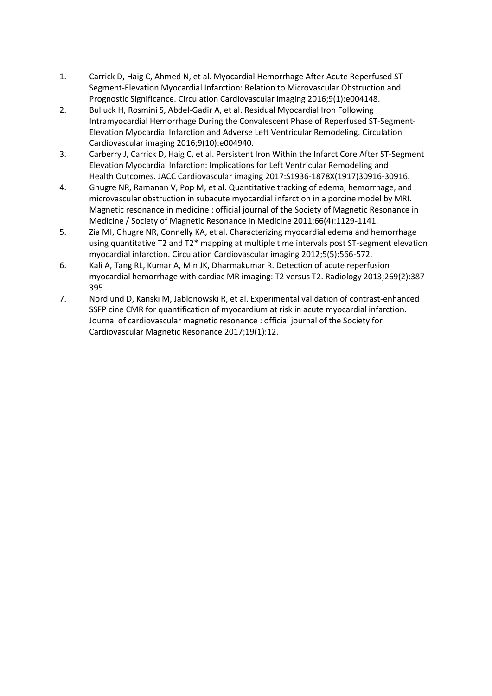- 1. Carrick D, Haig C, Ahmed N, et al. Myocardial Hemorrhage After Acute Reperfused ST-Segment-Elevation Myocardial Infarction: Relation to Microvascular Obstruction and Prognostic Significance. Circulation Cardiovascular imaging 2016;9(1):e004148.
- 2. Bulluck H, Rosmini S, Abdel-Gadir A, et al. Residual Myocardial Iron Following Intramyocardial Hemorrhage During the Convalescent Phase of Reperfused ST-Segment-Elevation Myocardial Infarction and Adverse Left Ventricular Remodeling. Circulation Cardiovascular imaging 2016;9(10):e004940.
- 3. Carberry J, Carrick D, Haig C, et al. Persistent Iron Within the Infarct Core After ST-Segment Elevation Myocardial Infarction: Implications for Left Ventricular Remodeling and Health Outcomes. JACC Cardiovascular imaging 2017:S1936-1878X(1917)30916-30916.
- 4. Ghugre NR, Ramanan V, Pop M, et al. Quantitative tracking of edema, hemorrhage, and microvascular obstruction in subacute myocardial infarction in a porcine model by MRI. Magnetic resonance in medicine : official journal of the Society of Magnetic Resonance in Medicine / Society of Magnetic Resonance in Medicine 2011;66(4):1129-1141.
- 5. Zia MI, Ghugre NR, Connelly KA, et al. Characterizing myocardial edema and hemorrhage using quantitative T2 and T2\* mapping at multiple time intervals post ST-segment elevation myocardial infarction. Circulation Cardiovascular imaging 2012;5(5):566-572.
- 6. Kali A, Tang RL, Kumar A, Min JK, Dharmakumar R. Detection of acute reperfusion myocardial hemorrhage with cardiac MR imaging: T2 versus T2. Radiology 2013;269(2):387- 395.
- 7. Nordlund D, Kanski M, Jablonowski R, et al. Experimental validation of contrast-enhanced SSFP cine CMR for quantification of myocardium at risk in acute myocardial infarction. Journal of cardiovascular magnetic resonance : official journal of the Society for Cardiovascular Magnetic Resonance 2017;19(1):12.